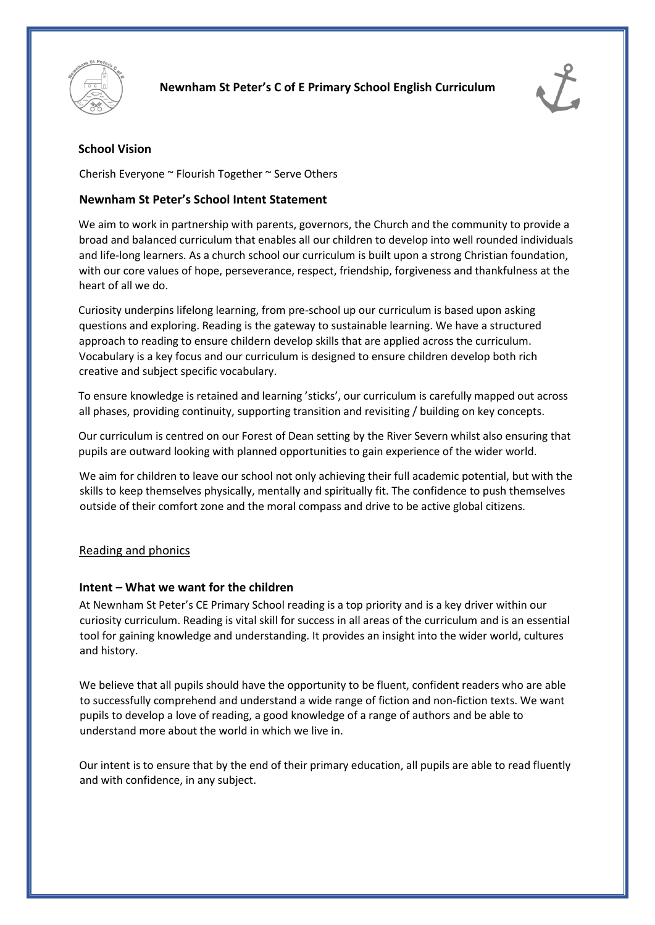



# **School Vision**

Cherish Everyone ~ Flourish Together ~ Serve Others

## **Newnham St Peter's School Intent Statement**

We aim to work in partnership with parents, governors, the Church and the community to provide a broad and balanced curriculum that enables all our children to develop into well rounded individuals and life-long learners. As a church school our curriculum is built upon a strong Christian foundation, with our core values of hope, perseverance, respect, friendship, forgiveness and thankfulness at the heart of all we do.

Curiosity underpins lifelong learning, from pre-school up our curriculum is based upon asking questions and exploring. Reading is the gateway to sustainable learning. We have a structured approach to reading to ensure childern develop skills that are applied across the curriculum. Vocabulary is a key focus and our curriculum is designed to ensure children develop both rich creative and subject specific vocabulary.

To ensure knowledge is retained and learning 'sticks', our curriculum is carefully mapped out across all phases, providing continuity, supporting transition and revisiting / building on key concepts.

Our curriculum is centred on our Forest of Dean setting by the River Severn whilst also ensuring that pupils are outward looking with planned opportunities to gain experience of the wider world.

We aim for children to leave our school not only achieving their full academic potential, but with the skills to keep themselves physically, mentally and spiritually fit. The confidence to push themselves outside of their comfort zone and the moral compass and drive to be active global citizens.

## Reading and phonics

## **Intent – What we want for the children**

At Newnham St Peter's CE Primary School reading is a top priority and is a key driver within our curiosity curriculum. Reading is vital skill for success in all areas of the curriculum and is an essential tool for gaining knowledge and understanding. It provides an insight into the wider world, cultures and history.

We believe that all pupils should have the opportunity to be fluent, confident readers who are able to successfully comprehend and understand a wide range of fiction and non-fiction texts. We want pupils to develop a love of reading, a good knowledge of a range of authors and be able to understand more about the world in which we live in.

Our intent is to ensure that by the end of their primary education, all pupils are able to read fluently and with confidence, in any subject.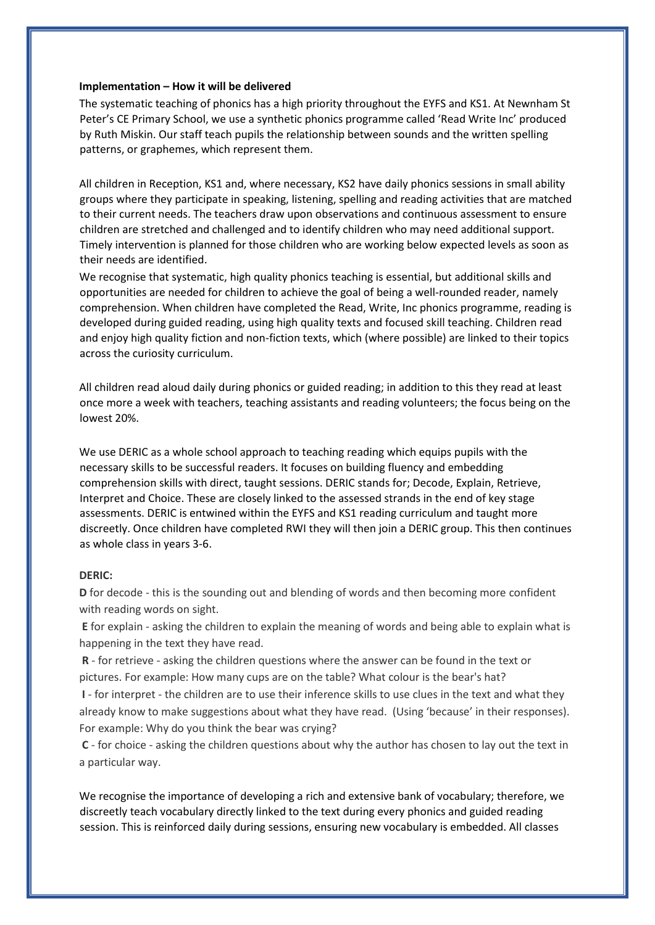#### **Implementation – How it will be delivered**

The systematic teaching of phonics has a high priority throughout the EYFS and KS1. At Newnham St Peter's CE Primary School, we use a synthetic phonics programme called 'Read Write Inc' produced by Ruth Miskin. Our staff teach pupils the relationship between sounds and the written spelling patterns, or graphemes, which represent them.

All children in Reception, KS1 and, where necessary, KS2 have daily phonics sessions in small ability groups where they participate in speaking, listening, spelling and reading activities that are matched to their current needs. The teachers draw upon observations and continuous assessment to ensure children are stretched and challenged and to identify children who may need additional support. Timely intervention is planned for those children who are working below expected levels as soon as their needs are identified.

We recognise that systematic, high quality phonics teaching is essential, but additional skills and opportunities are needed for children to achieve the goal of being a well-rounded reader, namely comprehension. When children have completed the Read, Write, Inc phonics programme, reading is developed during guided reading, using high quality texts and focused skill teaching. Children read and enjoy high quality fiction and non-fiction texts, which (where possible) are linked to their topics across the curiosity curriculum.

All children read aloud daily during phonics or guided reading; in addition to this they read at least once more a week with teachers, teaching assistants and reading volunteers; the focus being on the lowest 20%.

We use DERIC as a whole school approach to teaching reading which equips pupils with the necessary skills to be successful readers. It focuses on building fluency and embedding comprehension skills with direct, taught sessions. DERIC stands for; Decode, Explain, Retrieve, Interpret and Choice. These are closely linked to the assessed strands in the end of key stage assessments. DERIC is entwined within the EYFS and KS1 reading curriculum and taught more discreetly. Once children have completed RWI they will then join a DERIC group. This then continues as whole class in years 3-6.

#### **DERIC:**

**D** for decode - this is the sounding out and blending of words and then becoming more confident with reading words on sight.

**E** for explain - asking the children to explain the meaning of words and being able to explain what is happening in the text they have read.

**R** - for retrieve - asking the children questions where the answer can be found in the text or pictures. For example: How many cups are on the table? What colour is the bear's hat?

**I** - for interpret - the children are to use their inference skills to use clues in the text and what they already know to make suggestions about what they have read. (Using 'because' in their responses). For example: Why do you think the bear was crying?

**C** - for choice - asking the children questions about why the author has chosen to lay out the text in a particular way.

We recognise the importance of developing a rich and extensive bank of vocabulary; therefore, we discreetly teach vocabulary directly linked to the text during every phonics and guided reading session. This is reinforced daily during sessions, ensuring new vocabulary is embedded. All classes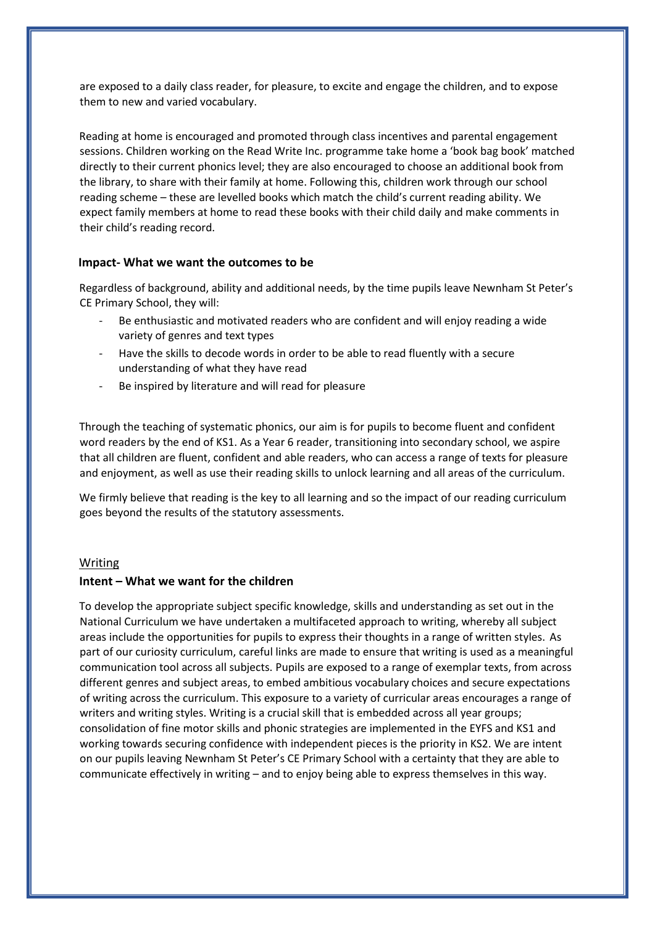are exposed to a daily class reader, for pleasure, to excite and engage the children, and to expose them to new and varied vocabulary.

Reading at home is encouraged and promoted through class incentives and parental engagement sessions. Children working on the Read Write Inc. programme take home a 'book bag book' matched directly to their current phonics level; they are also encouraged to choose an additional book from the library, to share with their family at home. Following this, children work through our school reading scheme – these are levelled books which match the child's current reading ability. We expect family members at home to read these books with their child daily and make comments in their child's reading record.

## **Impact- What we want the outcomes to be**

Regardless of background, ability and additional needs, by the time pupils leave Newnham St Peter's CE Primary School, they will:

- Be enthusiastic and motivated readers who are confident and will enjoy reading a wide variety of genres and text types
- Have the skills to decode words in order to be able to read fluently with a secure understanding of what they have read
- Be inspired by literature and will read for pleasure

Through the teaching of systematic phonics, our aim is for pupils to become fluent and confident word readers by the end of KS1. As a Year 6 reader, transitioning into secondary school, we aspire that all children are fluent, confident and able readers, who can access a range of texts for pleasure and enjoyment, as well as use their reading skills to unlock learning and all areas of the curriculum.

We firmly believe that reading is the key to all learning and so the impact of our reading curriculum goes beyond the results of the statutory assessments.

#### Writing

### **Intent – What we want for the children**

To develop the appropriate subject specific knowledge, skills and understanding as set out in the National Curriculum we have undertaken a multifaceted approach to writing, whereby all subject areas include the opportunities for pupils to express their thoughts in a range of written styles. As part of our curiosity curriculum, careful links are made to ensure that writing is used as a meaningful communication tool across all subjects. Pupils are exposed to a range of exemplar texts, from across different genres and subject areas, to embed ambitious vocabulary choices and secure expectations of writing across the curriculum. This exposure to a variety of curricular areas encourages a range of writers and writing styles. Writing is a crucial skill that is embedded across all year groups; consolidation of fine motor skills and phonic strategies are implemented in the EYFS and KS1 and working towards securing confidence with independent pieces is the priority in KS2. We are intent on our pupils leaving Newnham St Peter's CE Primary School with a certainty that they are able to communicate effectively in writing – and to enjoy being able to express themselves in this way.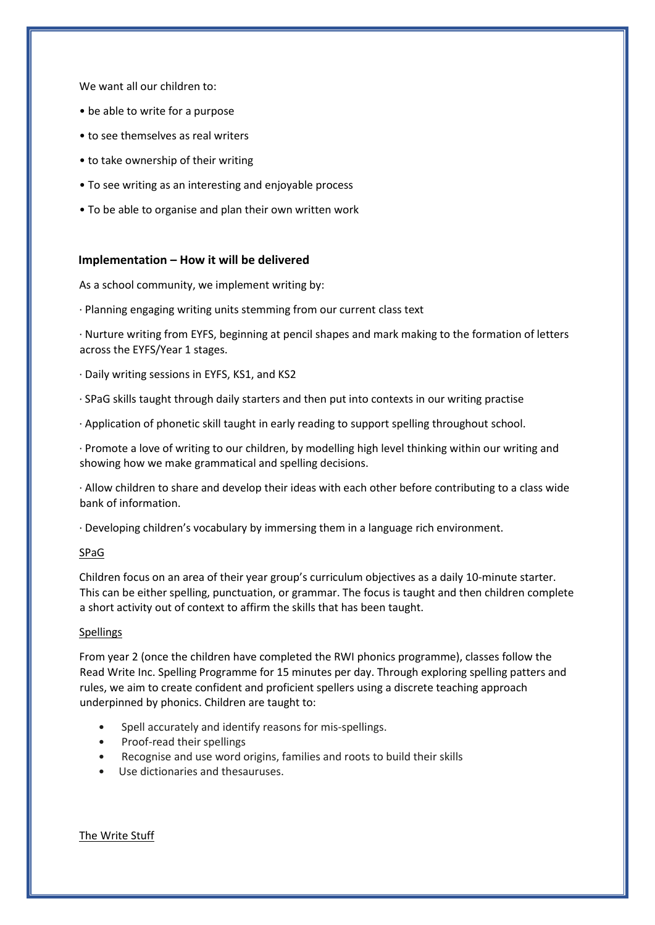We want all our children to:

- be able to write for a purpose
- to see themselves as real writers
- to take ownership of their writing
- To see writing as an interesting and enjoyable process
- To be able to organise and plan their own written work

#### **Implementation – How it will be delivered**

As a school community, we implement writing by:

· Planning engaging writing units stemming from our current class text

· Nurture writing from EYFS, beginning at pencil shapes and mark making to the formation of letters across the EYFS/Year 1 stages.

- · Daily writing sessions in EYFS, KS1, and KS2
- · SPaG skills taught through daily starters and then put into contexts in our writing practise
- · Application of phonetic skill taught in early reading to support spelling throughout school.

· Promote a love of writing to our children, by modelling high level thinking within our writing and showing how we make grammatical and spelling decisions.

· Allow children to share and develop their ideas with each other before contributing to a class wide bank of information.

· Developing children's vocabulary by immersing them in a language rich environment.

### SPaG

Children focus on an area of their year group's curriculum objectives as a daily 10-minute starter. This can be either spelling, punctuation, or grammar. The focus is taught and then children complete a short activity out of context to affirm the skills that has been taught.

#### Spellings

From year 2 (once the children have completed the RWI phonics programme), classes follow the Read Write Inc. Spelling Programme for 15 minutes per day. Through exploring spelling patters and rules, we aim to create confident and proficient spellers using a discrete teaching approach underpinned by phonics. Children are taught to:

- Spell accurately and identify reasons for mis-spellings.
- Proof-read their spellings
- Recognise and use word origins, families and roots to build their skills
- Use dictionaries and thesauruses.

The Write Stuff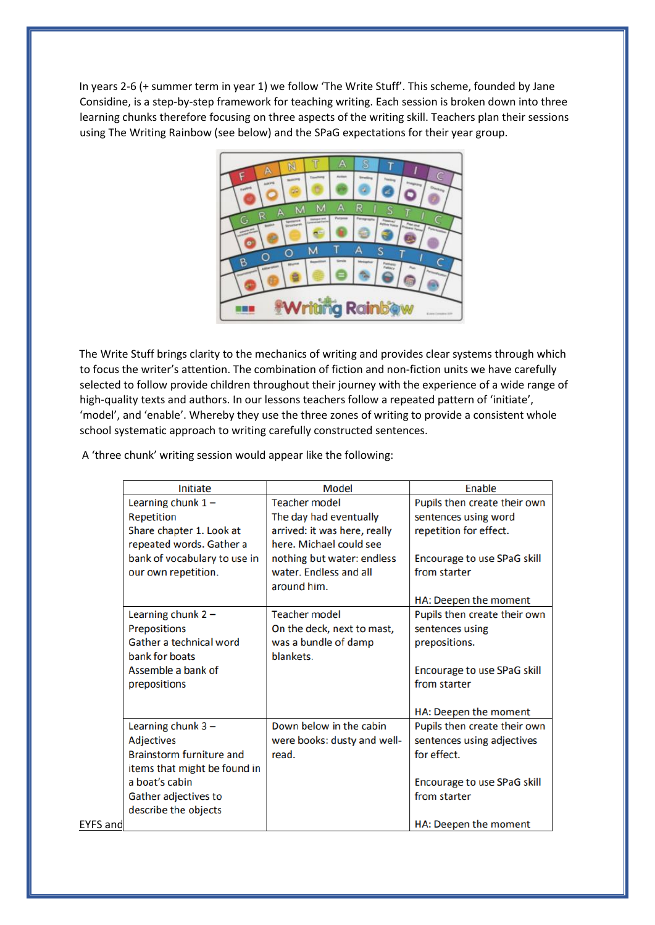In years 2-6 (+ summer term in year 1) we follow 'The Write Stuff'. This scheme, founded by Jane Considine, is a step-by-step framework for teaching writing. Each session is broken down into three learning chunks therefore focusing on three aspects of the writing skill. Teachers plan their sessions using The Writing Rainbow (see below) and the SPaG expectations for their year group.



The Write Stuff brings clarity to the mechanics of writing and provides clear systems through which to focus the writer's attention. The combination of fiction and non-fiction units we have carefully selected to follow provide children throughout their journey with the experience of a wide range of high-quality texts and authors. In our lessons teachers follow a repeated pattern of 'initiate', 'model', and 'enable'. Whereby they use the three zones of writing to provide a consistent whole school systematic approach to writing carefully constructed sentences.

A 'three chunk' writing session would appear like the following:

|                 | Initiate                     | <b>Model</b>                 | <b>Enable</b>                |
|-----------------|------------------------------|------------------------------|------------------------------|
|                 | Learning chunk $1 -$         | <b>Teacher model</b>         | Pupils then create their own |
|                 | Repetition                   | The day had eventually       | sentences using word         |
|                 | Share chapter 1. Look at     | arrived: it was here, really | repetition for effect.       |
|                 | repeated words. Gather a     | here. Michael could see      |                              |
|                 | bank of vocabulary to use in | nothing but water: endless   | Encourage to use SPaG skill  |
|                 | our own repetition.          | water. Endless and all       | from starter                 |
|                 |                              | around him.                  |                              |
|                 |                              |                              | HA: Deepen the moment        |
|                 | Learning chunk $2 -$         | <b>Teacher model</b>         | Pupils then create their own |
|                 | Prepositions                 | On the deck, next to mast,   | sentences using              |
|                 | Gather a technical word      | was a bundle of damp         | prepositions.                |
|                 | bank for boats               | blankets.                    |                              |
|                 | Assemble a bank of           |                              | Encourage to use SPaG skill  |
|                 | prepositions                 |                              | from starter                 |
|                 |                              |                              |                              |
|                 |                              |                              | HA: Deepen the moment        |
|                 | Learning chunk $3 -$         | Down below in the cabin      | Pupils then create their own |
|                 | <b>Adjectives</b>            | were books: dusty and well-  | sentences using adjectives   |
|                 | Brainstorm furniture and     | read.                        | for effect.                  |
|                 | items that might be found in |                              |                              |
|                 | a boat's cabin               |                              | Encourage to use SPaG skill  |
|                 | Gather adjectives to         |                              | from starter                 |
|                 | describe the objects         |                              |                              |
| <b>EYFS</b> and |                              |                              | HA: Deepen the moment        |